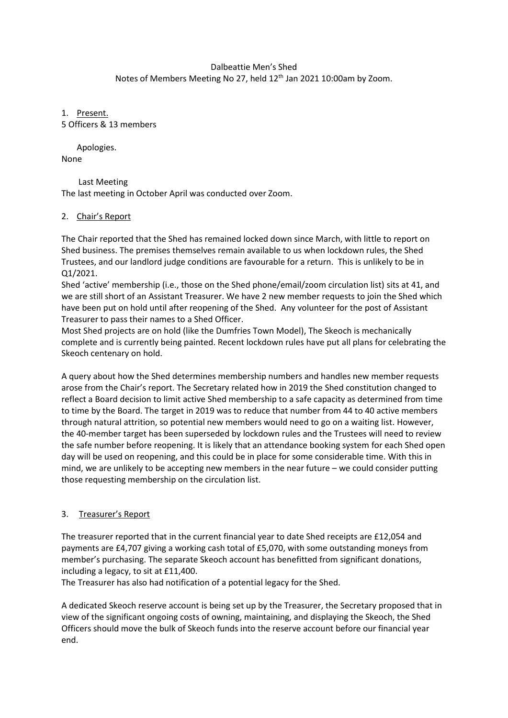# Dalbeattie Men's Shed Notes of Members Meeting No 27, held 12<sup>th</sup> Jan 2021 10:00am by Zoom.

1. Present. 5 Officers & 13 members

Apologies. None

 Last Meeting The last meeting in October April was conducted over Zoom.

### 2. Chair's Report

The Chair reported that the Shed has remained locked down since March, with little to report on Shed business. The premises themselves remain available to us when lockdown rules, the Shed Trustees, and our landlord judge conditions are favourable for a return. This is unlikely to be in Q1/2021.

Shed 'active' membership (i.e., those on the Shed phone/email/zoom circulation list) sits at 41, and we are still short of an Assistant Treasurer. We have 2 new member requests to join the Shed which have been put on hold until after reopening of the Shed. Any volunteer for the post of Assistant Treasurer to pass their names to a Shed Officer.

Most Shed projects are on hold (like the Dumfries Town Model), The Skeoch is mechanically complete and is currently being painted. Recent lockdown rules have put all plans for celebrating the Skeoch centenary on hold.

A query about how the Shed determines membership numbers and handles new member requests arose from the Chair's report. The Secretary related how in 2019 the Shed constitution changed to reflect a Board decision to limit active Shed membership to a safe capacity as determined from time to time by the Board. The target in 2019 was to reduce that number from 44 to 40 active members through natural attrition, so potential new members would need to go on a waiting list. However, the 40-member target has been superseded by lockdown rules and the Trustees will need to review the safe number before reopening. It is likely that an attendance booking system for each Shed open day will be used on reopening, and this could be in place for some considerable time. With this in mind, we are unlikely to be accepting new members in the near future – we could consider putting those requesting membership on the circulation list.

## 3. Treasurer's Report

The treasurer reported that in the current financial year to date Shed receipts are £12,054 and payments are £4,707 giving a working cash total of £5,070, with some outstanding moneys from member's purchasing. The separate Skeoch account has benefitted from significant donations, including a legacy, to sit at £11,400.

The Treasurer has also had notification of a potential legacy for the Shed.

A dedicated Skeoch reserve account is being set up by the Treasurer, the Secretary proposed that in view of the significant ongoing costs of owning, maintaining, and displaying the Skeoch, the Shed Officers should move the bulk of Skeoch funds into the reserve account before our financial year end.